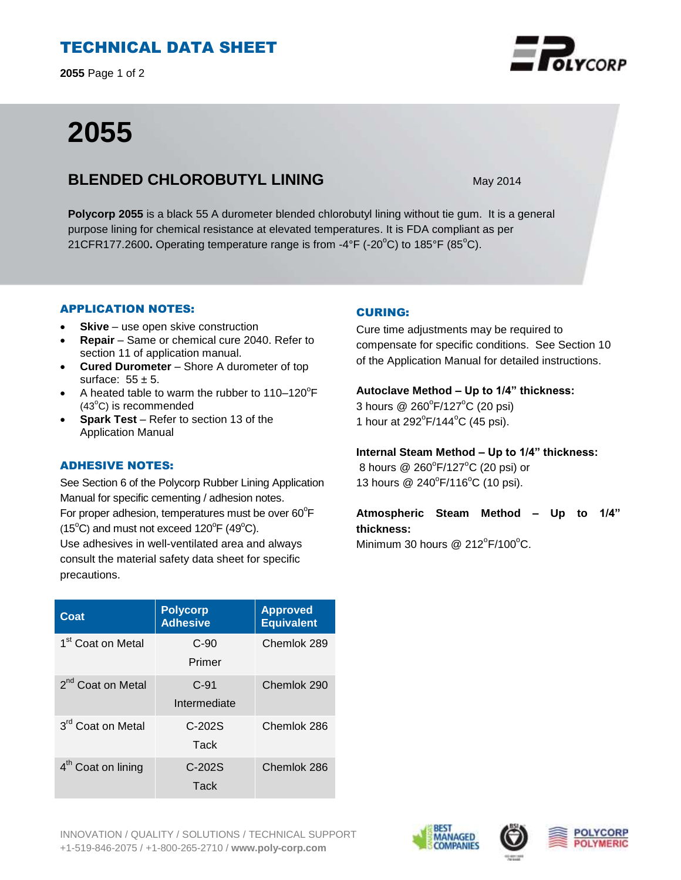## TECHNICAL DATA SHEET

**2055** Page 1 of 2

# **2055**

### **BLENDED CHLOROBUTYL LINING** May 2014

**Polycorp 2055** is a black 55 A durometer blended chlorobutyl lining without tie gum. It is a general purpose lining for chemical resistance at elevated temperatures. It is FDA compliant as per 21CFR177.2600. Operating temperature range is from -4°F (-20°C) to 185°F (85°C).

#### APPLICATION NOTES:

- **Skive** use open skive construction
- **Repair**  Same or chemical cure 2040. Refer to section 11 of application manual.
- **Cured Durometer**  Shore A durometer of top surface:  $55 \pm 5$ .
- A heated table to warm the rubber to  $110-120^{\circ}F$  $(43^{\circ}C)$  is recommended
- **Spark Test** Refer to section 13 of the Application Manual

#### ADHESIVE NOTES:

See Section 6 of the Polycorp Rubber Lining Application Manual for specific cementing / adhesion notes. For proper adhesion, temperatures must be over  $60^{\circ}$ F  $(15^{\circ}C)$  and must not exceed  $120^{\circ}F(49^{\circ}C)$ . Use adhesives in well-ventilated area and always consult the material safety data sheet for specific precautions.

| Coat                           | <b>Polycorp</b><br><b>Adhesive</b> | <b>Approved</b><br><b>Equivalent</b> |
|--------------------------------|------------------------------------|--------------------------------------|
| 1 <sup>st</sup> Coat on Metal  | $C-90$<br>Primer                   | Chemlok 289                          |
| 2 <sup>nd</sup> Coat on Metal  | $C-91$<br>Intermediate             | Chemlok 290                          |
| 3 <sup>rd</sup> Coat on Metal  | $C-202S$<br>Tack                   | Chemlok 286                          |
| 4 <sup>th</sup> Coat on lining | $C-202S$<br>Tack                   | Chemlok 286                          |

#### CURING:

Cure time adjustments may be required to compensate for specific conditions. See Section 10 of the Application Manual for detailed instructions.

#### **Autoclave Method – Up to 1/4" thickness:**

3 hours @ 260°F/127°C (20 psi) 1 hour at  $292^{\circ}F/144^{\circ}C$  (45 psi).

#### **Internal Steam Method – Up to 1/4" thickness:**

8 hours @ 260°F/127°C (20 psi) or 13 hours @ 240°F/116°C (10 psi).

# **Atmospheric Steam Method – Up to 1/4" thickness:**

Minimum 30 hours @  $212^{\circ}$ F/100 $^{\circ}$ C.